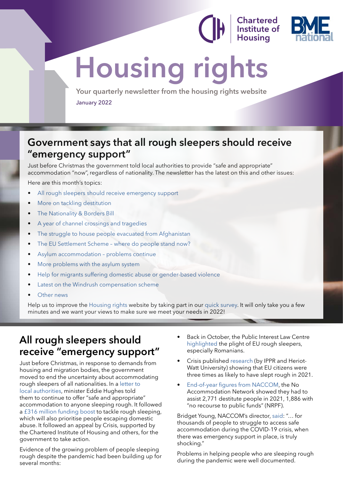**Chartered Institute of** 



# **Housing rights**

**Your quarterly newsletter from the housing rights website** January 2022

### **Government says that all rough sleepers should receive "emergency support"**

Just before Christmas the government told local authorities to provide "safe and appropriate" accommodation "now", regardless of nationality. The newsletter has the latest on this and other issues:

Here are this month's topics:

- All rough sleepers should receive emergency support
- [More on tackling destitution](#page-1-0)
- [The Nationality & Borders Bill](#page-2-0)
- [A year of channel crossings and tragedies](#page-3-0)
- [The struggle to house people evacuated from Afghanistan](#page-4-0)
- The EU Settlement Scheme where do people stand now?
- [Asylum accommodation problems continue](#page-9-0)
- [More problems with the asylum system](#page-10-0)
- [Help for migrants suffering domestic abuse or gender-based violence](#page-11-0)
- [Latest on the Windrush compensation scheme](#page-13-0)
- [Other news](#page-13-0)

Help us to improve the [Housing rights](https://www.housing-rights.info/index.php) website by taking part in our [quick survey.](https://cih.research.net/r/SJS25W7) It will only take you a few minutes and we want your views to make sure we meet your needs in 2022!

### **All rough sleepers should receive "emergency support"**

Just before Christmas, in response to demands from housing and migration bodies, the government moved to end the uncertainty about accommodating rough sleepers of all nationalities. In a [letter to](https://assets.publishing.service.gov.uk/government/uploads/system/uploads/attachment_data/file/1042801/Letter_from_Minister_Eddie_Hughes_on__Protect_and_Vaccinate_.pdf)  [local authorities](https://assets.publishing.service.gov.uk/government/uploads/system/uploads/attachment_data/file/1042801/Letter_from_Minister_Eddie_Hughes_on__Protect_and_Vaccinate_.pdf), minister Eddie Hughes told them to continue to offer "safe and appropriate" accommodation to anyone sleeping rough. It followed a [£316 million funding boost](https://www.gov.uk/government/news/316-million-government-funding-boost-to-tackle-homelessness) to tackle rough sleeping, which will also prioritise people escaping domestic abuse. It followed an appeal by Crisis, supported by the Chartered Institute of Housing and others, for the government to take action.

Evidence of the growing problem of people sleeping rough despite the pandemic had been building up for several months:

- Back in October, the Public Interest Law Centre [highlighted](https://www.thejusticegap.com/back-to-the-bad-old-days-defending-the-rights-of-homeless-eu-citizens-after-brexit-covid-19/?mc_cid=d157c46298&mc_eid=2544d054e8) the plight of EU rough sleepers, especially Romanians.
- Crisis published [research](https://www.crisis.org.uk/ending-homelessness/homelessness-knowledge-hub/types-of-homelessness/the-scale-causes-and-impacts-of-homelessness-among-eea-citizens/) (by IPPR and Heriot-Watt University) showing that EU citizens were three times as likely to have slept rough in 2021.
- [End-of-year figures from NACCOM,](https://naccom.org.uk/resources/) the No Accommodation Network showed they had to assist 2,771 destitute people in 2021, 1,886 with "no recourse to public funds" (NRPF).

Bridget Young, NACCOM's director, [said](https://www.theguardian.com/society/2021/dec/23/migrant-rough-sleepers-in-england-will-be-housed-over-winter-says-government): "… for thousands of people to struggle to access safe accommodation during the COVID-19 crisis, when there was emergency support in place, is truly shocking."

Problems in helping people who are sleeping rough during the pandemic were well documented.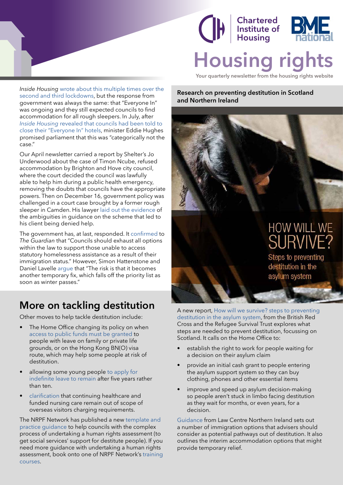<span id="page-1-0"></span>



**Your quarterly newsletter from the housing rights website**

*Inside Housing* [wrote about this multiple times over the](https://e.insidehousing.co.uk/1HH2-7NL2O-MMVWKO-4NHEJ1-1/c.aspx)  [second and third lockdowns,](https://e.insidehousing.co.uk/1HH2-7NL2O-MMVWKO-4NHEJ1-1/c.aspx) but the response from government was always the same: that "Everyone In" was ongoing and they still expected councils to find accommodation for all rough sleepers. In July, after *Inside Housing* [revealed that councils had been told to](https://e.insidehousing.co.uk/1HH2-7NL2O-MMVWKO-4NHEJ2-1/c.aspx)  [close their "Everyone In" hotels](https://e.insidehousing.co.uk/1HH2-7NL2O-MMVWKO-4NHEJ2-1/c.aspx), minister Eddie Hughes promised parliament that this was "categorically not the case."

Our April newsletter carried a report by Shelter's Jo Underwood about the case of Timon Ncube, refused accommodation by Brighton and Hove city council, where the court decided the council was lawfully able to help him during a public health emergency, removing the doubts that councils have the appropriate powers. Then on December 16, government policy was challenged in a court case brought by a former rough sleeper in Camden. His lawyer [laid out the evidence](https://www.insidehousing.co.uk/news/everyone-in-scheme-began-excluding-rough-sleepers-from-may-2020-government-tells-court-73716) of the ambiguities in guidance on the scheme that led to his client being denied help.

The government has, at last, responded. It [confirmed](https://www.theguardian.com/society/2021/dec/23/migrant-rough-sleepers-in-england-will-be-housed-over-winter-says-government) to *The Guardian* that "Councils should exhaust all options within the law to support those unable to access statutory homelessness assistance as a result of their immigration status." However, Simon Hattenstone and Daniel Lavelle [argue](https://www.theguardian.com/commentisfree/2021/dec/28/boris-johnson-homelessness-energy-bills-benefit-cuts) that "The risk is that it becomes another temporary fix, which falls off the priority list as soon as winter passes."

### **More on tackling destitution**

Other moves to help tackle destitution include:

- The Home Office changing its policy on when [access to public funds must be granted](https://www.nrpfnetwork.org.uk/news/nrpf-policy-update-november-2021) to people with leave on family or private life grounds, or on the Hong Kong BN(O) visa route, which may help some people at risk of destitution.
- allowing some young people [to apply for](https://miclu.org/blog/challenge-to-the-10-year-route-results-in-home-office-concession-for-young-people)  [indefinite leave to remain](https://miclu.org/blog/challenge-to-the-10-year-route-results-in-home-office-concession-for-young-people) after five years rather than ten.
- [clarification](https://www.nrpfnetwork.org.uk/news/chc-and-fnc) that continuing healthcare and funded nursing care remain out of scope of overseas visitors charging requirements.

The NRPF Network has published a new [template and](https://www.nrpfnetwork.org.uk/news/human-rights-assessments)  [practice guidance](https://www.nrpfnetwork.org.uk/news/human-rights-assessments) to help councils with the complex process of undertaking a human rights assessment (to get social services' support for destitute people). If you need more guidance with undertaking a human rights assessment, book onto one of NRPF Network's [training](https://www.nrpfnetwork.org.uk/training)  [courses](https://www.nrpfnetwork.org.uk/training).

**Research on preventing destitution in Scotland and Northern Ireland**

## HOW WILL WE **JRVIN**

Steps to preventing destitution in the asylum system

A new report, [How will we survive? steps to preventing](https://www.redcross.org.uk/about-us/what-we-do/we-speak-up-for-change/exploring-destitution-in-the-asylum-system-and-models-of-prevention)  [destitution in the asylum system,](https://www.redcross.org.uk/about-us/what-we-do/we-speak-up-for-change/exploring-destitution-in-the-asylum-system-and-models-of-prevention) from the British Red Cross and the Refugee Survival Trust explores what steps are needed to prevent destitution, focussing on Scotland. It calls on the Home Office to:

- establish the right to work for people waiting for a decision on their asylum claim
- provide an initial cash grant to people entering the asylum support system so they can buy clothing, phones and other essential items
- improve and speed up asylum decision-making so people aren't stuck in limbo facing destitution as they wait for months, or even years, for a decision.

[Guidance](https://www.lawcentreni.org/how-we-help/important-contacts-1) from Law Centre Northern Ireland sets out a number of immigration options that advisers should consider as potential pathways out of destitution. It also outlines the interim accommodation options that might provide temporary relief.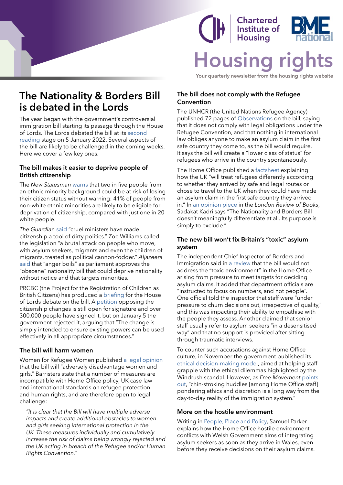<span id="page-2-0"></span>

### **Chartered** Institute of **Housing Housing**

**Your quarterly newsletter from the housing rights website**

### **The Nationality & Borders Bill is debated in the Lords**

The year began with the government's controversial immigration bill starting its passage through the House of Lords. The Lords debated the bill at its [second](https://whatson.parliament.uk/event/cal36732)  [reading](https://whatson.parliament.uk/event/cal36732) stage on 5 January 2022. Several aspects of the bill are likely to be challenged in the coming weeks. Here we cover a few key ones.

### **The bill makes it easier to deprive people of British citizenship**

The *New Statesman* [warns](https://www.newstatesman.com/politics/2021/12/exclusive-british-citizenship-of-six-million-people-could-be-jeopardised-by-home-office-plans) that two in five people from an ethnic minority background could be at risk of losing their citizen status without warning: 41% of people from non-white ethnic minorities are likely to be eligible for deprivation of citizenship, compared with just one in 20 white people.

*The Guardian* [said](https://www.theguardian.com/commentisfree/2021/dec/08/citizenship-politics-nationality-and-border-bill-repatriation-deportation) "cruel ministers have made citizenship a tool of dirty politics." Zoe Williams called the legislation "a brutal attack on people who move, with asylum seekers, migrants and even the children of migrants, treated as political cannon-fodder." *Aljazeera* [said](https://www.aljazeera.com/news/2021/12/10/anger-boils-as-uk-parliament-endorses-obscene-nationality-bill) that "anger boils" as parliament approves the "obscene" nationality bill that could deprive nationality without notice and that targets minorities.

PRCBC (the Project for the Registration of Children as British Citizens) has produced a [briefing](https://prcbc.files.wordpress.com/2021/12/nbb-briefingfinal16dec2021.pdf) for the House of Lords debate on the bill. A [petition](https://petition.parliament.uk/petitions/601583) opposing the citizenship changes is still open for signature and over 300,000 people have signed it, but on January 5 the government rejected it, arguing that "The change is simply intended to ensure existing powers can be used effectively in all appropriate circumstances."

### **The bill will harm women**

Women for Refugee Women published [a legal opinion](https://www.refugeewomen.co.uk/legal-opinion-borders-bill-discriminates-against-women/) that the bill will "adversely disadvantage women and girls." Barristers state that a number of measures are incompatible with Home Office policy, UK case law and international standards on refugee protection and human rights, and are therefore open to legal challenge:

*"It is clear that the Bill will have multiple adverse impacts and create additional obstacles to women and girls seeking international protection in the UK. These measures individually and cumulatively increase the risk of claims being wrongly rejected and the UK acting in breach of the Refugee and/or Human Rights Convention."*

### **The bill does not comply with the Refugee Convention**

The UNHCR (the United Nations Refugee Agency) published 72 pages of [Observations](https://www.refworld.org/docid/6164209a4.html) on the bill, saying that it does not comply with legal obligations under the Refugee Convention, and that nothing in international law obliges anyone to make an asylum claim in the first safe country they come to, as the bill would require. It says the bill will create a "lower class of status" for refugees who arrive in the country spontaneously.

The Home Office published a [factsheet](https://www.gov.uk/government/publications/nationality-and-borders-bill-differentiation-factsheet/nationality-and-borders-bill-differentiation-factsheet) explaining how the UK "will treat refugees differently according to whether they arrived by safe and legal routes or chose to travel to the UK when they could have made an asylum claim in the first safe country they arrived in." In [an opinion piece](https://www.lrb.co.uk/blog/2022/january/with-literally-nothing) in the *London Review of Books*, Sadakat Kadri says "The Nationality and Borders Bill doesn't meaningfully differentiate at all. Its purpose is simply to exclude."

### **The new bill won't fix Britain's "toxic" asylum system**

The independent Chief Inspector of Borders and Immigration said in [a review](https://assets.publishing.service.gov.uk/government/uploads/system/uploads/attachment_data/file/1034012/An_inspection_of_asylum_casework_August_2020_to_May_2021.pdf) that the bill would not address the "toxic environment" in the Home Office arising from pressure to meet targets for deciding asylum claims. It added that department officials are "instructed to focus on numbers, and not people". One official told the inspector that staff were "under pressure to churn decisions out, irrespective of quality," and this was impacting their ability to empathise with the people they assess. Another claimed that senior staff usually refer to asylum seekers "in a desensitised way" and that no support is provided after sitting through traumatic interviews.

To counter such accusations against Home Office culture, in November the government published its [ethical decision-making model,](https://www.gov.uk/government/publications/the-ethical-decision-making-model?mc_cid=043e135197&mc_eid=2544d054e8) aimed at helping staff grapple with the ethical dilemmas highlighted by the Windrush scandal. However, as *Free Movement* [points](https://www.freemovement.org.uk/ethical-decision-making-framework-home-office/)  [out](https://www.freemovement.org.uk/ethical-decision-making-framework-home-office/), "chin-stroking huddles [among Home Office staff] pondering ethics and discretion is a long way from the day-to-day reality of the immigration system."

### **More on the hostile environment**

Writing in [People, Place and Policy](https://extra.shu.ac.uk/ppp-online/inhibiting-integration-and-strengthening-inequality-the-effects-of-uk-policy-making-on-refugees-and-asylum-seekers-in-wales/), Samuel Parker explains how the Home Office hostile environment conflicts with Welsh Government aims of integrating asylum seekers as soon as they arrive in Wales, even before they receive decisions on their asylum claims.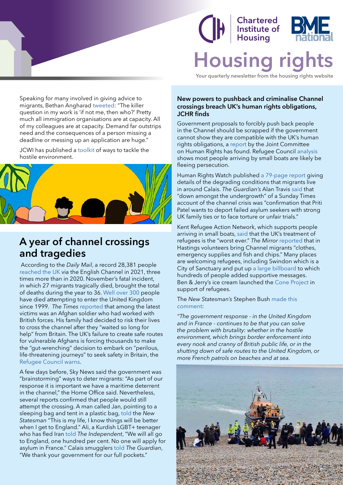### Chartered Institute of **Housina Housir**

**Your quarterly newsletter from the housing rights website**

<span id="page-3-0"></span>Speaking for many involved in giving advice to migrants, Bethan Angharad [tweeted:](https://twitter.com/BethanAngharadL/status/1456335266520748033?mc_cid=e9e1a59498&mc_eid=2544d054e8) "The killer question in my work is 'if not me, then who?' Pretty much all immigration organisations are at capacity. All of my colleagues are at capacity. Demand far outstrips need and the consequences of a person missing a deadline or messing up an application are huge."

JCWI has published a [toolkit](https://www.jcwi.org.uk/pages/category/work-it-out-toolkit) of ways to tackle the hostile environment.



### **A year of channel crossings and tragedies**

 According to the *Daily Mail*, a record 28,381 people [reached the UK](https://www.dailymail.co.uk/news/article-10358553/Three-times-migrants-crossed-Channel-year-compared-2020.html) via the English Channel in 2021, three times more than in 2020. November's fatal incident, in which 27 migrants tragically died, brought the total of deaths during the year to 36. [Well over 300](https://www.freemovement.org.uk/at-least-300-people-have-died-trying-to-cross-the-channel-since-1999/) people have died attempting to enter the United Kingdom since 1999. *The Times* [reported](https://www.thetimes.co.uk/article/children-and-babies-among-600-migrants-to-cross-channel-from-france-today-vshrwg7pv) that among the latest victims was an Afghan soldier who had worked with British forces. His family had decided to risk their lives to cross the channel after they "waited so long for help" from Britain. The UK's failure to create safe routes for vulnerable Afghans is forcing thousands to make the "gut-wrenching" decision to embark on "perilous, life-threatening journeys" to seek safety in Britain, the [Refugee Council warns.](https://www.theguardian.com/uk-news/2021/dec/20/failure-create-safe-routes-forcing-afghans-make-perilous-journeys-uk)

A few days before, Sky News said the government was "brainstorming" ways to deter migrants: "As part of our response it is important we have a maritime deterrent in the channel," the Home Office said. Nevertheless, several reports confirmed that people would still attempt the crossing. A man called Jan, pointing to a sleeping bag and tent in a plastic bag, [told](https://www.newstatesman.com/international-politics/2021/11/dispatch-migrants-in-calais-are-still-determined-to-cross-the-channel) the *New Statesman* "This is my life, I know things will be better when I get to England." Ali, a Kurdish LGBT+ teenager who has fled Iran [told](https://www.independent.co.uk/news/uk/home-news/migrants-channel-crossing-england-france-b1968564.html) *The Independent*, "We will all go to England, one hundred per cent. No one will apply for asylum in France." Calais smugglers [told](https://www.theguardian.com/global-development/2021/may/10/calais-smuggler-gangs-channel-migrants-uk-security) *The Guardian*, "We thank your government for our full pockets."

#### **New powers to pushback and criminalise Channel crossings breach UK's human rights obligations, JCHR finds**

Government proposals to forcibly push back people in the Channel should be scrapped if the government cannot show they are compatible with the UK's human rights obligations, a [report](https://committees.parliament.uk/committee/93/human-rights-joint-committee/news/159292/new-powers-to-pushback-and-criminalise-channel-crossings-breach-uks-human-rights-obligations-jchr-finds/) by the Joint Committee on Human Rights has found. Refugee Council [analysis](https://www.refugeecouncil.org.uk/latest/news/new-refugee-council-analysis-shows-most-people-arriving-by-small-boats-across-the-channel-are-likely-be-fleeing-persecution/) shows most people arriving by small boats are likely be fleeing persecution.

Human Rights Watch published [a 79-page report](https://www.hrw.org/news/2021/10/07/france-degrading-treatment-migrants-around-calais) giving details of the degrading conditions that migrants live in around Calais. *The Guardian's* Alan Travis [said](https://twitter.com/alantravis40/status/1464998409157451783) that "down amongst the undergrowth" of a Sunday Times account of the channel crisis was "confirmation that Priti Patel wants to deport failed asylum seekers with strong UK family ties or to face torture or unfair trials."

Kent Refugee Action Network, which supports people arriving in small boats, [said](https://www.theguardian.com/world/2021/nov/22/performative-cruelty-uk-treatment-refugees-worst-ever-charity-kent-boats) that the UK's treatment of refugees is the "worst ever." *The Mirror* [reported](https://www.mirror.co.uk/news/uk-news/volunteers-bring-channel-migrants-clothes-25512911) that in Hastings volunteers bring Channel migrants "clothes, emergency supplies and fish and chips." Many places are welcoming refugees, including Swindon which is a City of Sanctuary and put up [a large billboard](https://www.swindonadvertiser.co.uk/news/19806287.hundreds-star-new-swindon-billboard-welcome-refugees/) to which hundreds of people added supportive messages. Ben & Jerry's ice cream launched the [Cone Project](https://www.benjerry.co.uk/values/issues-we-care-about/refugees) in support of refugees.

#### The *New Statesman's* Stephen Bush [made this](https://go.pardot.com/webmail/509131/837418623/06a5c65bac1dbc637b49848633c8316c75794a6971944df652af3b8679c597ca)  [comment](https://go.pardot.com/webmail/509131/837418623/06a5c65bac1dbc637b49848633c8316c75794a6971944df652af3b8679c597ca):

*"The government response - in the United Kingdom and in France - continues to be that you can solve the problem with brutality: whether in the hostile environment, which brings border enforcement into every nook and cranny of British public life, or in the shutting down of safe routes to the United Kingdom, or more French patrols on beaches and at sea.*

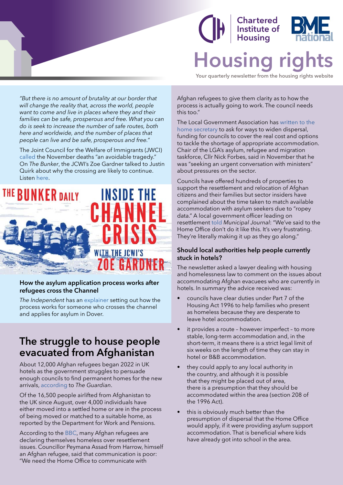### **Chartered** Institute of Housina **Housing**

**Your quarterly newsletter from the housing rights website**

<span id="page-4-0"></span>*"But there is no amount of brutality at our border that will change the reality that, across the world, people want to come and live in places where they and their families can be safe, prosperous and free. What you can do is seek to increase the number of safe routes, both here and worldwide, and the number of places that people can live and be safe, prosperous and free."*

The Joint Council for the Welfare of Immigrants (JWCI) [called](https://www.jcwi.org.uk/tragic-preventable-loss-of-life-in-the-channel) the November deaths "an avoidable tragedy." On *The Bunker*, the JCWI's Zoe Gardner talked to Justin Quirk about why the crossing are likely to continue. Listen [here.](https://podcasts.google.com/feed/aHR0cHM6Ly9mZWVkcy5tZWdhcGhvbmUuZm0vUE1PNDQ0MjUyMzQ5OA==/episode/MjFlOGJlYWUtNTBmOS0xMWVjLWJmMjktYmJhYmFlOWYzNDkz)



#### **How the asylum application process works after refugees cross the Channel**

*The Independent* has an [explainer](https://inews.co.uk/news/migrants-what-happens-uk-asylum-application-process-refugees-cross-channel-1321551) setting out how the process works for someone who crosses the channel and applies for asylum in Dover.

### **The struggle to house people evacuated from Afghanistan**

About 12,000 Afghan refugees began 2022 in UK hotels as the government struggles to persuade enough councils to find permanent homes for the new arrivals, [according](https://www.theguardian.com/uk-news/2021/dec/28/12000-afghan-refugees-to-start-new-year-stuck-in-uk-hotels) to *The Guardian*.

Of the 16,500 people airlifted from Afghanistan to the UK since August, over 4,000 individuals have either moved into a settled home or are in the process of being moved or matched to a suitable home, as reported by the Department for Work and Pensions.

According to the [BBC](https://www.bbc.com/news/uk-england-london-58965440), many Afghan refugees are declaring themselves homeless over resettlement issues. Councillor Peymana Assad from Harrow, himself an Afghan refugee, said that communication is poor: "We need the Home Office to communicate with

Afghan refugees to give them clarity as to how the process is actually going to work. The council needs this too."

The Local Government Association has [written to the](https://www.themj.co.uk/LGA-lobbies-Patel-on-asylum-pressures/221951)  [home secretary](https://www.themj.co.uk/LGA-lobbies-Patel-on-asylum-pressures/221951) to ask for ways to widen dispersal, funding for councils to cover the real cost and options to tackle the shortage of appropriate accommodation. Chair of the LGA's asylum, refugee and migration taskforce, Cllr Nick Forbes, said in November that he was "seeking an urgent conversation with ministers" about pressures on the sector.

Councils have offered hundreds of properties to support the resettlement and relocation of Afghan citizens and their families but sector insiders have complained about the time taken to match available accommodation with asylum seekers due to "ropey data." A local government officer leading on resettlement [told](https://www.themj.co.uk/LGA-lobbies-Patel-on-asylum-pressures/221951) *Municipal Journal*: "We've said to the Home Office don't do it like this. It's very frustrating. They're literally making it up as they go along."

#### **Should local authorities help people currently stuck in hotels?**

The newsletter asked a lawyer dealing with housing and homelessness law to comment on the issues about accommodating Afghan evacuees who are currently in hotels. In summary the advice received was:

- councils have clear duties under Part 7 of the Housing Act 1996 to help families who present as homeless because they are desperate to leave hotel accommodation.
- it provides a route however imperfect to more stable, long-term accommodation and, in the short-term, it means there is a strict legal limit of six weeks on the length of time they can stay in hotel or B&B accommodation.
- they could apply to any local authority in the country, and although it is possible that they might be placed out of area, there is a presumption that they should be accommodated within the area (section 208 of the 1996 Act).
- this is obviously much better than the presumption of dispersal that the Home Office would apply, if it were providing asylum support accommodation. That is beneficial where kids have already got into school in the area.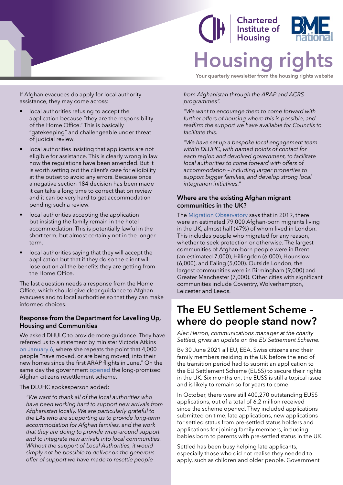<span id="page-5-0"></span>

If Afghan evacuees do apply for local authority assistance, they may come across:

- local authorities refusing to accept the application because "they are the responsibility of the Home Office." This is basically "gatekeeping" and challengeable under threat of judicial review.
- local authorities insisting that applicants are not eligible for assistance. This is clearly wrong in law now the regulations have been amended. But it is worth setting out the client's case for eligibility at the outset to avoid any errors. Because once a negative section 184 decision has been made it can take a long time to correct that on review and it can be very hard to get accommodation pending such a review.
- local authorities accepting the application but insisting the family remain in the hotel accommodation. This is potentially lawful in the short term, but almost certainly not in the longer term.
- local authorities saying that they will accept the application but that if they do so the client will lose out on all the benefits they are getting from the Home Office.

The last question needs a response from the Home Office, which should give clear guidance to Afghan evacuees and to local authorities so that they can make informed choices.

### **Response from the Department for Levelling Up, Housing and Communities**

We asked DHULC to provide more guidance. They have referred us to a statement by minister Victoria Atkins [on January 6](https://www.theyworkforyou.com/debates/?id=2022-01-06a.185.0&p=10131), where she repeats the point that 4,000 people "have moved, or are being moved, into their new homes since the first ARAP flights in June." On the same day the government [opened](https://www.gov.uk/guidance/afghan-citizens-resettlement-scheme) the long-promised Afghan citizens resettlement scheme.

The DLUHC spokesperson added:

*"We want to thank all of the local authorities who have been working hard to support new arrivals from Afghanistan locally. We are particularly grateful to the LAs who are supporting us to provide long-term accommodation for Afghan families, and the work that they are doing to provide wrap-around support and to integrate new arrivals into local communities. Without the support of Local Authorities, it would simply not be possible to deliver on the generous offer of support we have made to resettle people* 

# **Chartered<br>Institute of Housing Housing**

**Your quarterly newsletter from the housing rights website**

*from Afghanistan through the ARAP and ACRS programmes".*

*"We want to encourage them to come forward with further offers of housing where this is possible, and reaffirm the support we have available for Councils to facilitate this.*

*"We have set up a bespoke local engagement team within DLUHC, with named points of contact for each region and devolved government, to facilitate local authorities to come forward with offers of accommodation – including larger properties to support bigger families, and develop strong local integration initiatives."*

### **Where are the existing Afghan migrant communities in the UK?**

The [Migration Observatory](https://migrationobservatory.ox.ac.uk/resources/commentaries/afghan-refugees-in-the-uk/?mc_cid=d157c46298&mc_eid=2544d054e8) says that in 2019, there were an estimated 79,000 Afghan-born migrants living in the UK, almost half (47%) of whom lived in London. This includes people who migrated for any reason, whether to seek protection or otherwise. The largest communities of Afghan-born people were in Brent (an estimated 7,000), Hillingdon (6,000), Hounslow (6,000), and Ealing (5,000). Outside London, the largest communities were in Birmingham (9,000) and Greater Manchester (7,000). Other cities with significant communities include Coventry, Wolverhampton, Leicester and Leeds.

### **The EU Settlement Scheme – where do people stand now?**

*Alec Herron, communications manager at the charity Settled, gives an update on the EU Settlement Scheme.*

By 30 June 2021 all EU, EEA, Swiss citizens and their family members residing in the UK before the end of the transition period had to submit an application to the EU Settlement Scheme (EUSS) to secure their rights in the UK. Six months on, the EUSS is still a topical issue and is likely to remain so for years to come.

In October, there were still 400,270 outstanding EUSS applications, out of a total of 6.2 million received since the scheme opened. They included applications submitted on time, late applications, new applications for settled status from pre-settled status holders and applications for joining family members, including babies born to parents with pre-settled status in the UK.

Settled has been busy helping late applicants, especially those who did not realise they needed to apply, such as children and older people. Government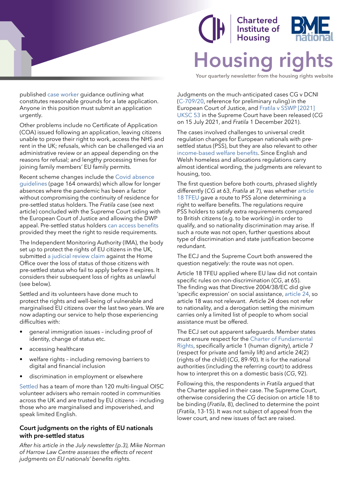

**Chartered** Institute of **Housing Housing** 

**Your quarterly newsletter from the housing rights website**

published [case worker](https://www.gov.uk/government/publications/eu-settlement-scheme-information-for-late-applicants/eu-settlement-scheme-information-for-late-applicants) guidance outlining what constitutes reasonable grounds for a late application. Anyone in this position must submit an application urgently.

Other problems include no Certificate of Application (COA) issued following an application, leaving citizens unable to prove their right to work, access the NHS and rent in the UK; refusals, which can be challenged via an administrative review or an appeal depending on the reasons for refusal; and lengthy processing times for joining family members' EU family permits.

Recent scheme changes include the [Covid absence](https://assets.publishing.service.gov.uk/government/uploads/system/uploads/attachment_data/file/1033149/EU_Settlement_Scheme_EU__other_EEA__Swiss_citizens_and_family_members.pdf)  [guidelines](https://assets.publishing.service.gov.uk/government/uploads/system/uploads/attachment_data/file/1033149/EU_Settlement_Scheme_EU__other_EEA__Swiss_citizens_and_family_members.pdf) (page 164 onwards) which allow for longer absences where the pandemic has been a factor without compromising the continuity of residence for pre-settled status holders. The *Fratila* case (see next article) concluded with the Supreme Court siding with the European Court of Justice and allowing the DWP appeal. Pre-settled status holders [can access benefits](https://cpag.org.uk/welfare-rights/legal-test-cases/current-test-cases/eu-pre-settled-status) provided they meet the right to reside requirements.

The Independent Monitoring Authority (IMA), the body set up to protect the rights of EU citizens in the UK, submitted [a judicial review claim](https://ima-citizensrights.org.uk/news/judicial-review-claim-issued-by-ima/) against the Home Office over the loss of status of those citizens with pre-settled status who fail to apply before it expires. It considers their subsequent loss of rights as unlawful (see below).

Settled and its volunteers have done much to protect the rights and well-being of vulnerable and marginalised EU citizens over the last two years. We are now adapting our service to help those experiencing difficulties with:

- general immigration issues including proof of identity, change of status etc.
- accessing healthcare
- welfare rights including removing barriers to digital and financial inclusion
- discrimination in employment or elsewhere

[Settled](http://www.settled.org.uk/) has a team of more than 120 multi-lingual OISC volunteer advisers who remain rooted in communities across the UK and are trusted by EU citizens – including those who are marginalised and impoverished, and speak limited English.

### **Court judgments on the rights of EU nationals with pre-settled status**

*After his article in the July newsletter (p.3), Mike Norman of Harrow Law Centre assesses the effects of recent judgments on EU nationals' benefits rights.*

Judgments on the much-anticipated cases CG v DCNI ([C-709/20,](https://curia.europa.eu/juris/document/document.jsf;jsessionid=B9671FFF3300FBD4183A352D847A567E?text=&docid=244198&pageIndex=0&doclang=en&mode=lst&dir=&occ=first&part=1&cid=4734729) reference for preliminary ruling) in the European Court of Justice, and [Fratila v SSWP \[2021\]](https://www.supremecourt.uk/cases/docs/uksc-2021-0008-judgment.pdf)  [UKSC 53](https://www.supremecourt.uk/cases/docs/uksc-2021-0008-judgment.pdf) in the Supreme Court have been released (*CG* on 15 July 2021, and *Fratila* 1 December 2021).

The cases involved challenges to universal credit regulation changes for European nationals with presettled status (PSS), but they are also relevant to other [income-based welfare benefits.](https://www.legislation.gov.uk/uksi/2019/872/contents/made#:~:text=The%20Social%20Security%20%28Income-related%20Benefits%29%20%28Updating%20and%20Amendment%29,information%20about%20its%20policy%20objective%20and%20policy%20implications.) Since English and Welsh homeless and allocations regulations carry almost identical wording, the judgments are relevant to housing, too.

The first question before both courts, phrased slightly differently (*CG* at 63, *Fratila* at 7), was whether [article](https://eur-lex.europa.eu/legal-content/EN/TXT/PDF/?uri=CELEX:12012E/TXT)  [18 TFEU](https://eur-lex.europa.eu/legal-content/EN/TXT/PDF/?uri=CELEX:12012E/TXT) gave a route to PSS alone determining a right to welfare benefits. The regulations require PSS holders to satisfy extra requirements compared to British citizens (e.g. to be working) in order to qualify, and so nationality discrimination may arise. If such a route was not open, further questions about type of discrimination and state justification become redundant.

The ECJ and the Supreme Court both answered the question negatively: the route was not open.

Article 18 TFEU applied where EU law did not contain specific rules on non-discrimination (*CG*, at 65). The finding was that Directive 2004/38/EC did give 'specific expression' on social assistance, [article 24](https://www.legislation.gov.uk/eudr/2004/38/article/24), so article 18 was not relevant. Article 24 does not refer to nationality, and a derogation setting the minimum carries only a limited list of people to whom social assistance must be offered.

The ECJ set out apparent safeguards. Member states must ensure respect for the [Charter of Fundamental](https://www.europarl.europa.eu/charter/pdf/text_en.pdf)  [Rights](https://www.europarl.europa.eu/charter/pdf/text_en.pdf), specifically article 1 (human dignity), article 7 (respect for private and family lift) and article 24(2) (rights of the child) (*CG*, 89-90). It is for the national authorities (including the referring court) to address how to interpret this on a domestic basis (*CG*, 92).

Following this, the respondents in *Fratila* argued that the Charter applied in their case. The Supreme Court, otherwise considering the *CG* decision on article 18 to be binding (*Fratila*, 8), declined to determine the point (*Fratila*, 13-15). It was not subject of appeal from the lower court, and new issues of fact are raised.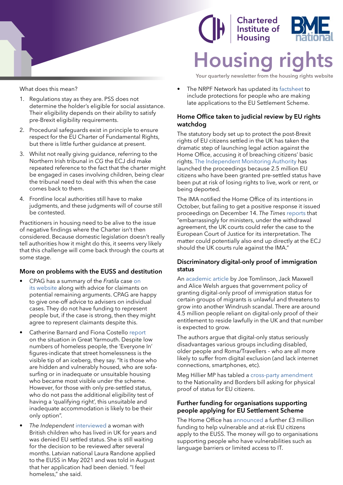



**Your quarterly newsletter from the housing rights website**

- What does this mean?
- 1. Regulations stay as they are. PSS does not determine the holder's eligible for social assistance. Their eligibility depends on their ability to satisfy pre-Brexit eligibility requirements.
- 2. Procedural safeguards exist in principle to ensure respect for the EU Charter of Fundamental Rights, but there is little further guidance at present.
- 3. Whilst not really giving guidance, referring to the Northern Irish tribunal in *CG* the ECJ did make repeated reference to the fact that the charter might be engaged in cases involving children, being clear the tribunal need to deal with this when the case comes back to them.
- 4. Frontline local authorities still have to make judgments, and these judgments will of course still be contested.

Practitioners in housing need to be alive to the issue of negative findings where the Charter isn't then considered. Because domestic legislation doesn't really tell authorities how it might do this, it seems very likely that this challenge will come back through the courts at some stage.

#### **More on problems with the EUSS and destitution**

- CPAG has a summary of the *Fratila* case [on](https://cpag.org.uk/welfare-rights/legal-test-cases/current-test-cases/eu-pre-settled-status)  [its website](https://cpag.org.uk/welfare-rights/legal-test-cases/current-test-cases/eu-pre-settled-status) along with advice for claimants on potential remaining arguments. CPAG are happy to give one-off advice to advisers on individual cases. They do not have funding to represent people but, if the case is strong, then they might agree to represent claimants despite this.
- Catherine Barnard and Fiona Costello [report](https://ukandeu.ac.uk/homeless-covid-19-settled-status?mc_cid=59720ebc6a&mc_eid=2544d054e8) on the situation in Great Yarmouth. Despite low numbers of homeless people, the 'Everyone In' figures-indicate that street homelessness is the visible tip of an iceberg, they say. "It is those who are hidden and vulnerably housed, who are sofasurfing or in inadequate or unsuitable housing who became most visible under the scheme. However, for those with only pre-settled status, who do not pass the additional eligibility test of having a 'qualifying right', this unsuitable and inadequate accommodation is likely to be their only option".
- *• The Independent* [interviewed](https://www.independent.co.uk/news/uk/home-news/eu-settled-status-brexit-uk-b1973923.html) a woman with British children who has lived in UK for years and was denied EU settled status. She is still waiting for the decision to be reviewed after several months. Latvian national Laura Randone applied to the EUSS in May 2021 and was told in August that her application had been denied. "I feel homeless," she said.

The NRPF Network has updated its [factsheet](https://nrpfnetwork.us10.list-manage.com/track/click?u=79fdd8d2ff037862483738f60&id=13d30fe691&e=f767c5b756) to include protections for people who are making late applications to the EU Settlement Scheme.

#### **Home Office taken to judicial review by EU rights watchdog**

The statutory body set up to protect the post-Brexit rights of EU citizens settled in the UK has taken the dramatic step of launching legal action against the Home Office, accusing it of breaching citizens' basic rights. [The Independent Monitoring Authority](https://ima-citizensrights.org.uk/news/judicial-review-claim-issued-by-ima/) has launched the proceedings because 2.5 million EU citizens who have been granted pre-settled status have been put at risk of losing rights to live, work or rent, or being deported.

The IMA notified the Home Office of its intentions in October, but failing to get a positive response it issued proceedings on December 14. *The Times* [reports](https://www.thetimes.co.uk/article/priti-patels-new-rule-is-a-blow-for-eu-citizens-who-live-in-britain-tdgw99z59) that "embarrassingly for ministers, under the withdrawal agreement, the UK courts could refer the case to the European Court of Justice for its interpretation. The matter could potentially also end up directly at the ECJ should the UK courts rule against the IMA."

#### **Discriminatory digital-only proof of immigration status**

An [academic article](https://www.cambridge.org/core/journals/legal-studies/article/discrimination-in-digital-immigration-status/9D931782E354BD842D21B024EA6F9095) by Joe Tomlinson, Jack Maxwell and Alice Welsh argues that government policy of granting digital-only proof of immigration status for certain groups of migrants is unlawful and threatens to grow into another Windrush scandal. There are around 4.5 million people reliant on digital-only proof of their entitlement to reside lawfully in the UK and that number is expected to grow.

The authors argue that digital-only status seriously disadvantages various groups including disabled, older people and Roma/Travellers – who are all more likely to suffer from digital exclusion (and lack internet connections, smartphones, etc).

Meg Hillier MP has tabled a [cross-party amendment](https://twitter.com/the3million/status/1466345273333010437?s=12) to the Nationality and Borders bill asking for physical proof of status for EU citizens.

#### **Further funding for organisations supporting people applying for EU Settlement Scheme**

The Home Office has [announced](https://www.gov.uk/government/news/further-boost-for-people-applying-for-eu-settlement-scheme) a further £3 million funding to help vulnerable and at-risk EU citizens apply to the EUSS. The money will go to organisations supporting people who have vulnerabilities such as language barriers or limited access to IT.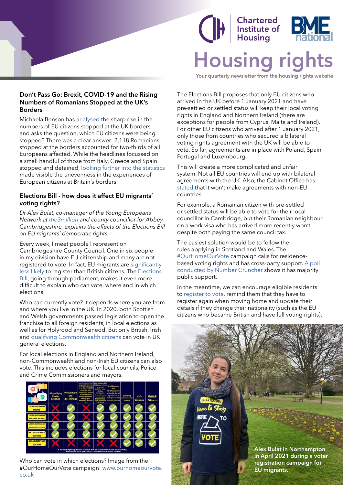

# **Chartered<br>Institute of<br>Housing Housing right**

**Your quarterly newsletter from the housing rights website**

#### **Don't Pass Go: Brexit, COVID-19 and the Rising Numbers of Romanians Stopped at the UK's Borders**

Michaela Benson has [analysed](https://ukandeu.ac.uk/which-eu-citizens-are-being-turned-away-at-britains-borders/) the sharp rise in the numbers of EU citizens stopped at the UK borders and asks the question, which EU citizens were being stopped? There was a clear answer: 2,118 Romanians stopped at the borders accounted for two-thirds of all Europeans affected. While the headlines focussed on a small handful of those from Italy, Greece and Spain stopped and detained, [looking further into the statistics](https://www.law.ox.ac.uk/research-subject-groups/centre-criminology/centreborder-criminologies/blog/2021/12/dont-pass-go)  made visible the unevenness in the experiences of European citizens at Britain's borders.

### **Elections Bill - how does it affect EU migrants' voting rights?**

*Dr Alex Bulat, co-manager of the Young Europeans Network at [the3million](https://www.the3million.org.uk/) and county councillor for Abbey, Cambridgeshire, explains the effects of the Elections Bill on EU migrants' democratic rights.*

Every week, I meet people I represent on Cambridgeshire County Council. One in six people in my division have EU citizenship and many are not registered to vote. In fact, EU migrants are [significantly](https://www.electoralcommission.org.uk/sites/default/files/pdf_file/The-December-2015-electoral-registers-in-Great-Britain-REPORT.pdf)  [less likely](https://www.electoralcommission.org.uk/sites/default/files/pdf_file/The-December-2015-electoral-registers-in-Great-Britain-REPORT.pdf) to register than British citizens. The [Elections](https://bills.parliament.uk/bills/3020)  [Bill,](https://bills.parliament.uk/bills/3020) going through parliament, makes it even more difficult to explain who can vote, where and in which elections.

Who can currently vote? It depends where you are from and where you live in the UK. In 2020, both Scottish and Welsh governments passed legislation to open the franchise to all foreign residents, in local elections as well as for Holyrood and Senedd. But only British, Irish and [qualifying Commonwealth citizens](https://www.electoralcommission.org.uk/i-am-a/voter/register-vote-and-update-your-details#commonwealth) can vote in UK general elections.

For local elections in England and Northern Ireland, non-Commonwealth and non-Irish EU citizens can also vote. This includes elections for local councils, Police and Crime Commissioners and mayors.



Who can vote in which elections? Image from the #OurHomeOurVote campaign: [www.ourhomeourvote.](http://www.ourhomeourvote.co.uk/) [co.uk](http://www.ourhomeourvote.co.uk/)

The Elections Bill proposes that only EU citizens who arrived in the UK before 1 January 2021 and have pre-settled or settled status will keep their local voting rights in England and Northern Ireland (there are exceptions for people from Cyprus, Malta and Ireland). For other EU citizens who arrived after 1 January 2021, only those from countries who secured a bilateral voting rights agreement with the UK will be able to vote. So far, agreements are in place with Poland, Spain, Portugal and Luxembourg.

This will create a more complicated and unfair system. Not all EU countries will end up with bilateral agreements with the UK. Also, the Cabinet Office has [stated](https://www.mylondon.news/news/londoners-who-live-work-capital-21713802) that it won't make agreements with non-EU countries.

For example, a Romanian citizen with pre-settled or settled status will be able to vote for their local councillor in Cambridge, but their Romanian neighbour on a work visa who has arrived more recently won't, despite both paying the same council tax.

The easiest solution would be to follow the rules applying in Scotland and Wales. The [#OurHomeOurVote](https://www.ourhomeourvote.co.uk/) campaign calls for residencebased voting rights and has cross-party support. [A poll](https://www.the3million.org.uk/_files/ugd/cd54e3_4fe89ecf07924ffd82a8fa49dc8c1997.pdf)  [conducted by Number Cruncher](https://www.the3million.org.uk/_files/ugd/cd54e3_4fe89ecf07924ffd82a8fa49dc8c1997.pdf) shows it has majority public support.

In the meantime, we can encourage eligible residents to [register to vote](https://www.gov.uk/register-to-vote), remind them that they have to register again when moving home and update their details if they change their nationality (such as the EU citizens who became British and have full voting rights).

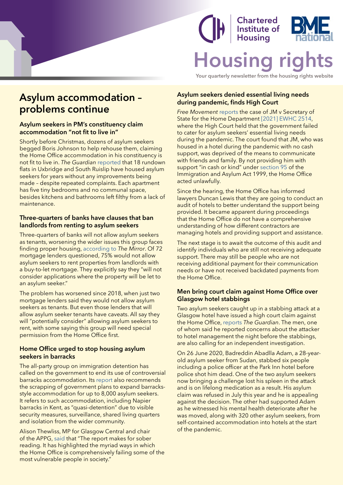### **Chartered** Institute of **Housing Housing right**

**Your quarterly newsletter from the housing rights website**

### <span id="page-9-0"></span>**Asylum accommodation – problems continue**

### **Asylum seekers in PM's constituency claim accommodation "not fit to live in"**

Shortly before Christmas, dozens of asylum seekers begged Boris Johnson to help rehouse them, claiming the Home Office accommodation in his constituency is not fit to live in. *The Guardian* [reported](https://www.theguardian.com/uk-news/2021/dec/22/asylum-seekers-in-pms-constituency-claim-accommodation-not-fit-to-live-in) that 18 rundown flats in Uxbridge and South Ruislip have housed asylum seekers for years without any improvements being made – despite repeated complaints. Each apartment has five tiny bedrooms and no communal space, besides kitchens and bathrooms left filthy from a lack of maintenance.

### **Three-quarters of banks have clauses that ban landlords from renting to asylum seekers**

Three-quarters of banks will not allow asylum seekers as tenants, worsening the wider issues this group faces finding proper housing, [according to](https://www.mirror.co.uk/money/three-quarters-banks-clauses-ban-25639371) *The Mirror*. Of 72 mortgage lenders questioned, 75% would not allow asylum seekers to rent properties from landlords with a buy-to-let mortgage. They explicitly say they "will not consider applications where the property will be let to an asylum seeker."

The problem has worsened since 2018, when just two mortgage lenders said they would not allow asylum seekers as tenants. But even those lenders that will allow asylum seeker tenants have caveats. All say they will "potentially consider" allowing asylum seekers to rent, with some saying this group will need special permission from the Home Office first.

### **Home Office urged to stop housing asylum seekers in barracks**

The all-party group on immigration detention has called on the government to end its use of controversial barracks accommodation. Its [report](https://appgdetention.org.uk/inquiry-into-quasi-detention/) also recommends the scrapping of government plans to expand barracksstyle accommodation for up to 8,000 asylum seekers. It refers to such accommodation, including Napier barracks in Kent, as "quasi-detention" due to visible security measures, surveillance, shared living quarters and isolation from the wider community.

Alison Thewliss, MP for Glasgow Central and chair of the APPG, [said](https://www.theguardian.com/uk-news/2021/dec/09/home-office-urged-to-stop-housing-asylum-seekers-in-barracks) that "The report makes for sober reading. It has highlighted the myriad ways in which the Home Office is comprehensively failing some of the most vulnerable people in society."

### **Asylum seekers denied essential living needs during pandemic, finds High Court**

*Free Movement* [reports](https://www.freemovement.org.uk/asylum-seekers-essential-living-needs-not-met-during-pandemic-finds-high-court/) the case of JM v Secretary of State for the Home Department [\[2021\] EWHC 2514](https://www.bailii.org/ew/cases/EWHC/Admin/2021/2514.html), where the High Court held that the government failed to cater for asylum seekers' essential living needs during the pandemic. The court found that JM, who was housed in a hotel during the pandemic with no cash support, was deprived of the means to communicate with friends and family. By not providing him with support "in cash or kind" under [section 95](https://www.legislation.gov.uk/ukpga/1999/33/section/95) of the Immigration and Asylum Act 1999, the Home Office acted unlawfully.

Since the hearing, the Home Office has informed lawyers Duncan Lewis that they are going to conduct an audit of hotels to better understand the support being provided. It became apparent during proceedings that the Home Office do not have a comprehensive understanding of how different contractors are managing hotels and providing support and assistance.

The next stage is to await the outcome of this audit and identify individuals who are still not receiving adequate support. There may still be people who are not receiving additional payment for their communication needs or have not received backdated payments from the Home Office.

#### **Men bring court claim against Home Office over Glasgow hotel stabbings**

Two asylum seekers caught up in a stabbing attack at a Glasgow hotel have issued a high court claim against the Home Office, [reports](https://www.theguardian.com/uk-news/2021/dec/12/glasgow-hotel-stabbings-court-claim) *The Guardian*. The men, one of whom said he reported concerns about the attacker to hotel management the night before the stabbings, are also calling for an independent investigation.

On 26 June 2020, Badreddin Abadlla Adam, a 28-yearold asylum seeker from Sudan, stabbed six people including a police officer at the Park Inn hotel before police shot him dead. One of the two asylum seekers now bringing a challenge lost his spleen in the attack and is on lifelong medication as a result. His asylum claim was refused in July this year and he is appealing against the decision. The other had supported Adam as he witnessed his mental health deteriorate after he was moved, along with 320 other asylum seekers, from self-contained accommodation into hotels at the start of the pandemic.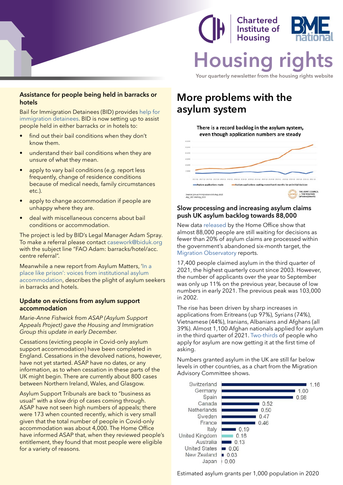<span id="page-10-0"></span>

### Chartered Institute of Housina **Housir**

**Your quarterly newsletter from the housing rights website**

#### **Assistance for people being held in barracks or hotels**

Bail for Immigration Detainees (BID) provides [help for](https://migrantsrights.us2.list-manage.com/track/click?u=d9e512af0e78ae1205ef2bef5&id=ea1c33105c&e=a2302ad821)  [immigration detainees.](https://migrantsrights.us2.list-manage.com/track/click?u=d9e512af0e78ae1205ef2bef5&id=ea1c33105c&e=a2302ad821) BID is now setting up to assist people held in either barracks or in hotels to:

- find out their bail conditions when they don't know them.
- understand their bail conditions when they are unsure of what they mean.
- apply to vary bail conditions (e.g. report less frequently, change of residence conditions because of medical needs, family circumstances etc.).
- apply to change accommodation if people are unhappy where they are.
- deal with miscellaneous concerns about bail conditions or accommodation.

The project is led by BID's Legal Manager Adam Spray. To make a referral please contact [casework@biduk.org](mailto:casework%40biduk.org?subject=) with the subject line "FAO Adam: barracks/hotel/acc. centre referral".

Meanwhile a new report from Asylum Matters, '[In a](https://asylummatters.org/2021/12/15/new-joint-report-in-a-place-like-prison-voices-from-institutional-asylum-accommodation/)  [place like prison': voices from institutional asylum](https://asylummatters.org/2021/12/15/new-joint-report-in-a-place-like-prison-voices-from-institutional-asylum-accommodation/)  [accommodation](https://asylummatters.org/2021/12/15/new-joint-report-in-a-place-like-prison-voices-from-institutional-asylum-accommodation/), describes the plight of asylum seekers in barracks and hotels.

#### **Update on evictions from asylum support accommodation**

*Marie-Anne Fishwick from ASAP (Asylum Support Appeals Project) gave the Housing and Immigration Group this update in early December.*

Cessations (evicting people in Covid-only asylum support accommodation) have been completed in England. Cessations in the devolved nations, however, have not yet started. ASAP have no dates, or any information, as to when cessation in these parts of the UK might begin. There are currently about 800 cases between Northern Ireland, Wales, and Glasgow.

Asylum Support Tribunals are back to "business as usual" with a slow drip of cases coming through. ASAP have not seen high numbers of appeals; there were 173 when counted recently, which is very small given that the total number of people in Covid-only accommodation was about 4,000. The Home Office have informed ASAP that, when they reviewed people's entitlement, they found that most people were eligible for a variety of reasons.

### **More problems with the asylum system**

There is a record backlog in the asylum system, even though application numbers are steady



### **Slow processing and increasing asylum claims push UK asylum backlog towards 88,000**

New data [released](https://www.gov.uk/government/statistics/immigration-statistics-year-ending-september-2021) by the Home Office show that almost 88,000 people are still waiting for decisions as fewer than 20% of asylum claims are processed within the government's abandoned six-month target, the [Migration Observatory](https://migrationobservatory.ox.ac.uk/press/as-britain-reels-from-channel-tragedy-slow-processing-and-increasing-asylum-claims-push-uk-asylum-backlog-towards-88000/) reports.

17,400 people claimed asylum in the third quarter of 2021, the highest quarterly count since 2003. However, the number of applicants over the year to September was only up 11% on the previous year, because of low numbers in early 2021. The previous peak was 103,000 in 2002.

The rise has been driven by sharp increases in applications from Eritreans (up 97%), Syrians (74%), Vietnamese (44%), Iranians, Albanians and Afghans (all 39%). Almost 1,100 Afghan nationals applied for asylum in the third quarter of 2021. [Two-thirds](https://www.gov.uk/government/statistics/immigration-statistics-year-ending-september-2021/how-many-people-do-we-grant-asylum-or-protection-to#outcomes-of-asylum-applications) of people who apply for asylum are now getting it at the first time of asking.

Numbers granted asylum in the UK are still far below levels in other countries, as a chart from the Migration Advisory Committee shows.



Estimated asylum grants per 1,000 population in 2020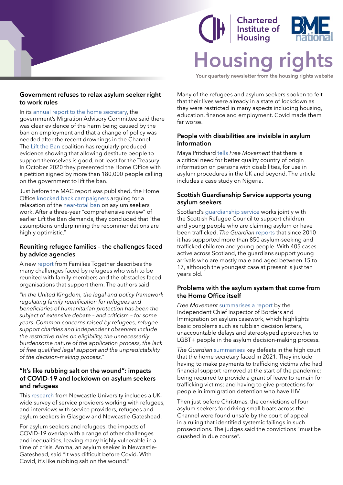### **Chartered Institute of Housing Housing**

**Your quarterly newsletter from the housing rights website**

#### <span id="page-11-0"></span>**Government refuses to relax asylum seeker right to work rules**

In its [annual report to the home secretary](https://www.gov.uk/government/publications/migration-advisory-committee-annual-report-2021/migration-advisory-committee-mac-annual-report-2021-accessible-version#asylum-and-integration), the government's Migration Advisory Committee said there was clear evidence of the harm being caused by the ban on employment and that a change of policy was needed after the recent drownings in the Channel. The [Lift the Ban](https://www.refugee-action.org.uk/lift-the-ban/) coalition has regularly produced evidence showing that allowing destitute people to support themselves is good, not least for the Treasury. In October 2020 they presented the Home Office with a petition signed by more than 180,000 people calling on the government to lift the ban.

Just before the MAC report was published, the Home Office [knocked back campaigners](https://www.freemovement.org.uk/government-refuses-to-relax-asylum-seeker-right-to-work-rules/) arguing for a relaxation of the [near-total ban](https://www.freemovement.org.uk/can-asylum-seekers-work-in-the-uk/) on asylum seekers work. After a three-year "comprehensive review" of earlier Lift the Ban demands, they concluded that "the assumptions underpinning the recommendations are highly optimistic."

### **Reuniting refugee families – the challenges faced by advice agencies**

A new [report](https://familiestogether.uk/wp-content/uploads/2021/08/Refugee-Family-Reunification-in-the-UK-challenges-and-prospects.pdf) from Families Together describes the many challenges faced by refugees who wish to be reunited with family members and the obstacles faced organisations that support them. The authors said:

*"In the United Kingdom, the legal and policy framework regulating family reunification for refugees and beneficiaries of humanitarian protection has been the subject of extensive debate – and criticism – for some years. Common concerns raised by refugees, refugee support charities and independent observers include the restrictive rules on eligibility, the unnecessarily burdensome nature of the application process, the lack of free qualified legal support and the unpredictability of the decision-making process."* 

### **"It's like rubbing salt on the wound": impacts of COVID-19 and lockdown on asylum seekers and refugees**

This [research](https://eprints.ncl.ac.uk/file_store/production/278292/9CA31F73-22E2-4362-B45B-1EC82308EA7E.pdf) from Newcastle University includes a UKwide survey of service providers working with refugees, and interviews with service providers, refugees and asylum seekers in Glasgow and Newcastle-Gateshead.

For asylum seekers and refugees, the impacts of COVID-19 overlap with a range of other challenges and inequalities, leaving many highly vulnerable in a time of crisis. Amma, an asylum seeker in Newcastle-Gateshead, said "It was difficult before Covid. With Covid, it's like rubbing salt on the wound."

Many of the refugees and asylum seekers spoken to felt that their lives were already in a state of lockdown as they were restricted in many aspects including housing, education, finance and employment. Covid made them far worse.

### **People with disabilities are invisible in asylum information**

Maya Pritchard [tells](https://www.freemovement.org.uk/country-of-origin-information-coi-persons-with-disabilities-asylos-arc/) *Free Movement* that there is a critical need for better quality country of origin information on persons with disabilities, for use in asylum procedures in the UK and beyond. The article includes a case study on Nigeria.

### **Scottish Guardianship Service supports young asylum seekers**

Scotland's quardianship service works jointly with the Scottish Refugee Council to support children and young people who are claiming asylum or have been trafficked. *The Guardian* [reports](https://www.theguardian.com/uk-news/2021/dec/06/they-will-fight-for-you-how-scotlands-guardians-change-young-refugees-lives) that since 2010 it has supported more than 850 asylum-seeking and trafficked children and young people. With 405 cases active across Scotland, the guardians support young arrivals who are mostly male and aged between 15 to 17, although the youngest case at present is just ten years old.

### **Problems with the asylum system that come from the Home Office itself**

*Free Movement* [summarises a report](https://www.freemovement.org.uk/nine-problems-with-the-asylum-system-that-priti-patel-cant-blame-on-anyone-else/) by the Independent Chief Inspector of Borders and Immigration on asylum casework, which highlights basic problems such as rubbish decision letters, unaccountable delays and stereotyped approaches to LGBT+ people in the asylum decision-making process.

*The Guardian* [summarises](https://www.theguardian.com/uk-news/2021/dec/21/convictions-quashed-for-men-who-drove-dinghies-across-channel) key defeats in the high court that the home secretary faced in 2021. They include having to make payments to trafficking victims who had financial support removed at the start of the pandemic; being required to provide a grant of leave to remain for trafficking victims; and having to give protections for people in immigration detention who have HIV.

Then just before Christmas, the convictions of four asylum seekers for driving small boats across the Channel were found unsafe by the court of appeal in a ruling that identified systemic failings in such prosecutions. The judges said the convictions "must be quashed in due course".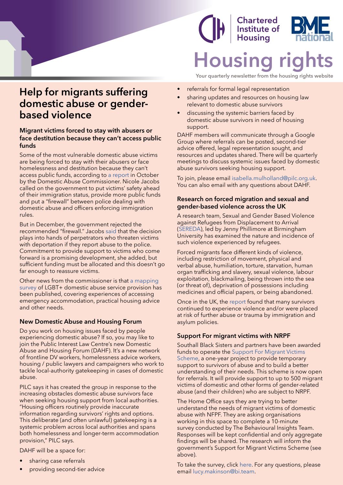### **Help for migrants suffering domestic abuse or genderbased violence**

### **Migrant victims forced to stay with abusers or face destitution because they can't access public funds**

Some of the most vulnerable domestic abuse victims are being forced to stay with their abusers or face homelessness and destitution because they can't access public funds, according to [a report](https://domesticabusecommissioner.uk/migrant-victims-forced-to-stay-with-abusers-or-face-destitution-because-they-cant-access-public-funds/?mc_cid=7492a74f7a&mc_eid=2544d054e8) in October by the Domestic Abuse Commissioner. Nicole Jacobs called on the government to put victims' safety ahead of their immigration status, provide more public funds and put a "firewall" between police dealing with domestic abuse and officers enforcing immigration rules.

But in December, the government rejected the recommended "firewall." Jacobs [said](https://domesticabusecommissioner.uk/vulnerable-survivors-failed-as-government-rejects-recommendations-that-would-protect-migrant-victims-of-domestic-abuse-says-domestic-abuse-commissioner/) that the decision plays into hands of perpetrators who threaten victims with deportation if they report abuse to the police. Commitment to provide support to victims who come forward is a promising development, she added, but sufficient funding must be allocated and this doesn't go far enough to reassure victims.

Other news from the commissioner is that [a mapping](https://domesticabusecommissioner.uk/wp-content/uploads/2021/11/Galop-LGBT-Domestic-Abuse-Service-Provision-Mapping-Study-Final.pdf)  [survey](https://domesticabusecommissioner.uk/wp-content/uploads/2021/11/Galop-LGBT-Domestic-Abuse-Service-Provision-Mapping-Study-Final.pdf) of LGBT+ domestic abuse service provision has been published, covering experiences of accessing emergency accommodation, practical housing advice and other needs.

### **New Domestic Abuse and Housing Forum**

Do you work on housing issues faced by people experiencing domestic abuse? If so, you may like to join the Public Interest Law Centre's new Domestic Abuse and Housing Forum (DAHF). It's a new network of frontline DV workers, homelessness advice workers, housing / public lawyers and campaigners who work to tackle local-authority gatekeeping in cases of domestic abuse.

PILC says it has created the group in response to the increasing obstacles domestic abuse survivors face when seeking housing support from local authorities. "Housing officers routinely provide inaccurate information regarding survivors' rights and options. This deliberate (and often unlawful) gatekeeping is a systemic problem across local authorities and spans both homelessness and longer-term accommodation provision," PILC says.

DAHF will be a space for:

- sharing case referrals
- providing second-tier advice

### **Chartered** Institute of **Housing Housir**

**Your quarterly newsletter from the housing rights website**

- referrals for formal legal representation
- sharing updates and resources on housing law relevant to domestic abuse survivors
- discussing the systemic barriers faced by domestic abuse survivors in need of housing support.

DAHF members will communicate through a Google Group where referrals can be posted, second-tier advice offered, legal representation sought, and resources and updates shared. There will be quarterly meetings to discuss systemic issues faced by domestic abuse survivors seeking housing support.

To join, please email [isabella.mulholland@pilc.org.uk.](mailto:isabella.mulholland@pilc.org.uk) You can also email with any questions about DAHF.

#### **Research on forced migration and sexual and gender-based violence across the UK**

A research team, Sexual and Gender Based Violence against Refugees from Displacement to Arrival ([SEREDA](https://www.birmingham.ac.uk/research/superdiversity-institute/sereda/index.aspx)), led by Jenny Phillimore at Birmingham University has examined the nature and incidence of such violence experienced by refugees.

Forced migrants face different kinds of violence, including restriction of movement, physical and verbal abuse, humiliation, torture, starvation, human organ trafficking and slavery, sexual violence, labour exploitation, blackmailing, being thrown into the sea (or threat of), deprivation of possessions including medicines and official papers, or being abandoned.

Once in the UK, the [report](https://www.birmingham.ac.uk/Documents/college-social-sciences/social-policy/iris/2021/sereda-full-report.pdf) found that many survivors continued to experience violence and/or were placed at risk of further abuse or trauma by immigration and asylum policies.

#### **Support For migrant victims with NRPF**

Southall Black Sisters and partners have been awarded funds to operate the [Support For Migrant Victims](https://southallblacksisters.org.uk/support-for-migrant-victims-scheme-smv-scheme/?mc_cid=7e102b704a&mc_eid=a2302ad821)  [Scheme](https://southallblacksisters.org.uk/support-for-migrant-victims-scheme-smv-scheme/?mc_cid=7e102b704a&mc_eid=a2302ad821), a one-year project to provide temporary support to survivors of abuse and to build a better understanding of their needs. This scheme is now open for referrals. It will provide support to up to 500 migrant victims of domestic and other forms of gender-related abuse (and their children) who are subject to NRPF.

The Home Office says they are trying to better understand the needs of migrant victims of domestic abuse with NFPF. They are asking organisations working in this space to complete a 10-minute survey conducted by The Behavioural Insights Team. Responses will be kept confidential and only aggregate findings will be shared. The research will inform the government's Support for Migrant Victims Scheme (see above).

To take the survey, click [here](https://surveys.bi.team/s/PU83H0/). For any questions, please email [lucy.makinson@bi.team.](mailto:lucy.makinson@bi.team)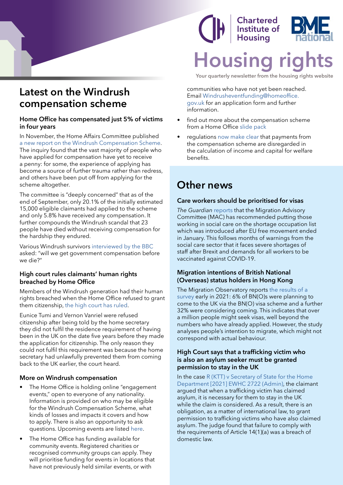### <span id="page-13-0"></span>**Latest on the Windrush compensation scheme**

#### **Home Office has compensated just 5% of victims in four years**

In November, the Home Affairs Committee published [a new report on the Windrush Compensation Scheme](https://publications.parliament.uk/pa/cm5802/cmselect/cmhaff/204/summary.html). The inquiry found that the vast majority of people who have applied for compensation have yet to receive a penny: for some, the experience of applying has become a source of further trauma rather than redress, and others have been put off from applying for the scheme altogether.

The committee is "deeply concerned" that as of the end of September, only 20.1% of the initially estimated 15,000 eligible claimants had applied to the scheme and only 5.8% have received any compensation. It further compounds the Windrush scandal that 23 people have died without receiving compensation for the hardship they endured.

Various Windrush survivors [interviewed by the BBC](https://www.bbc.com/news/uk-59385477) asked: "will we get government compensation before we die?"

### **High court rules claimants' human rights breached by Home Office**

Members of the Windrush generation had their human rights breached when the Home Office refused to grant them citizenship, [the high court has ruled](https://www.theguardian.com/uk-news/2021/dec/16/windrush-high-court-rules-claimants-human-rights-breached-by-home-office?mc_cid=8c1f7724d4&mc_eid=0d36159a1f).

Eunice Tumi and Vernon Vanriel were refused citizenship after being told by the home secretary they did not fulfil the residence requirement of having been in the UK on the date five years before they made the application for citizenship. The only reason they could not fulfil this requirement was because the home secretary had unlawfully prevented them from coming back to the UK earlier, the court heard.

### **More on Windrush compensation**

- The Home Office is holding online "engagement" events," open to everyone of any nationality. Information is provided on who may be eligible for the Windrush Compensation Scheme, what kinds of losses and impacts it covers and how to apply. There is also an opportunity to ask questions. Upcoming events are listed [here.](https://www.gov.uk/guidance/windrush-engagement-events)
- The Home Office has funding available for community events. Registered charities or recognised community groups can apply. They will prioritise funding for events in locations that have not previously held similar events, or with

### **Chartered Institute of Housing Housing ri**

**Your quarterly newsletter from the housing rights website**

communities who have not yet been reached. Email [Windrusheventfunding@homeoffice.](mailto:Windrusheventfunding@homeoffice.gov.uk) [gov.uk](mailto:Windrusheventfunding@homeoffice.gov.uk) for an application form and further information.

- find out more about the compensation scheme from a Home Office [slide pack](https://www.gov.uk/government/publications/windrush-schemes/windrush-schemes-slide-pack-accessible-version)
- regulations [now make clear](https://www.legislation.gov.uk/uksi/2021/1405/regulation/1/made) that payments from the compensation scheme are disregarded in the calculation of income and capital for welfare benefits.

### **Other news**

### **Care workers should be prioritised for visas**

*The Guardian* [reports](https://www.theguardian.com/society/2021/dec/15/care-workers-fast-track-visas-uk-migration-advisory-committee) that the Migration Advisory Committee (MAC) has recommended putting those working in social care on the shortage occupation list which was introduced after EU free movement ended in January. This follows months of warnings from the social care sector that it faces severe shortages of staff after Brexit and demands for all workers to be vaccinated against COVID-19.

#### **Migration intentions of British National (Overseas) status holders in Hong Kong**

The Migration Observatory reports [the results of a](https://migrationobservatory.ox.ac.uk/resources/briefings/the-migration-intentions-of-british-national-overseas-status-holders-in-hong-kong/)  [survey](https://migrationobservatory.ox.ac.uk/resources/briefings/the-migration-intentions-of-british-national-overseas-status-holders-in-hong-kong/) early in 2021: 6% of BN(O)s were planning to come to the UK via the BN(O) visa scheme and a further 32% were considering coming. This indicates that over a million people might seek visas, well beyond the numbers who have already applied. However, the study analyses people's intention to migrate, which might not correspond with actual behaviour.

#### **High Court says that a trafficking victim who is also an asylum seeker must be granted permission to stay in the UK**

In the case [R \(KTT\) v Secretary of State for the Home](https://www.casemine.com/judgement/uk/61669d277a3ff2658580a6ca)  [Department \[2021\] EWHC 2722 \(Admin\)](https://www.casemine.com/judgement/uk/61669d277a3ff2658580a6ca), the claimant argued that when a trafficking victim has claimed asylum, it is necessary for them to stay in the UK while the claim is considered. As a result, there is an obligation, as a matter of international law, to grant permission to trafficking victims who have also claimed asylum. The judge found that failure to comply with the requirements of Article 14(1)(a) was a breach of domestic law.